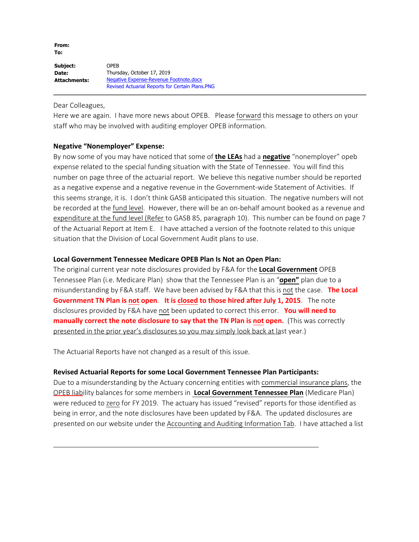**From: To:**

**Subject: Date: Attachments:** OPEB Thursday, October 17, 2019 Negative Expense-Revenue Footnote.docx Revised Actuarial Reports for Certain Plans.PNG

Dear Colleagues,

Here we are again. I have more news about OPEB. Please forward this message to others on your staff who may be involved with auditing employer OPEB information.

# **Negative "Nonemployer" Expense:**

By now some of you may have noticed that some of **the LEAs** had a **negative** "nonemployer" opeb expense related to the special funding situation with the State of Tennessee. You will find this number on page three of the actuarial report. We believe this negative number should be reported as a negative expense and a negative revenue in the Government-wide Statement of Activities. If this seems strange, it is. I don't think GASB anticipated this situation. The negative numbers will not be recorded at the fund level. However, there will be an on-behalf amount booked as a revenue and expenditure at the fund level (Refer to GASB 85, paragraph 10). This number can be found on page 7 of the Actuarial Report at Item E. I have attached a version of the footnote related to this unique situation that the Division of Local Government Audit plans to use.

#### **Local Government Tennessee Medicare OPEB Plan Is Not an Open Plan:**

The original current year note disclosures provided by F&A for the **Local Government** OPEB Tennessee Plan (i.e. Medicare Plan) show that the Tennessee Plan is an "**open"** plan due to a misunderstanding by F&A staff. We have been advised by F&A that this is not the case. **The Local Government TN Plan is not open**. **It is closed to those hired after July 1, 2015**. The note disclosures provided by F&A have not been updated to correct this error. **You will need to manually correct the note disclosure to say that the TN Plan is not open.** (This was correctly presented in the prior year's disclosures so you may simply look back at last year.)

The Actuarial Reports have not changed as a result of this issue.

# **Revised Actuarial Reports for some Local Government Tennessee Plan Participants:**

Due to a misunderstanding by the Actuary concerning entities with commercial insurance plans, the OPEB liability balances for some members in **Local Government Tennessee Plan** (Medicare Plan) were reduced to zero for FY 2019. The actuary has issued "revised" reports for those identified as being in error, and the note disclosures have been updated by F&A. The updated disclosures are presented on our website under the Accounting and Auditing Information Tab. I have attached a list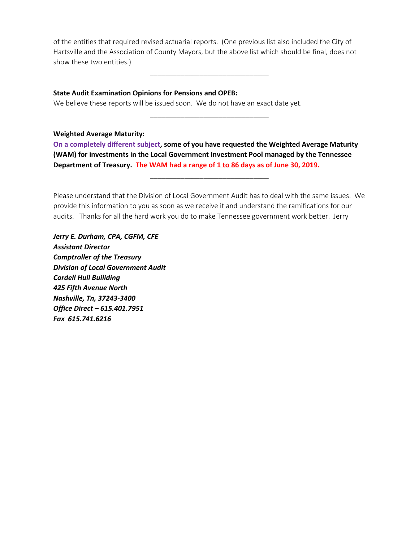of the entities that required revised actuarial reports. (One previous list also included the City of Hartsville and the Association of County Mayors, but the above list which should be final, does not show these two entities.)

\_\_\_\_\_\_\_\_\_\_\_\_\_\_\_\_\_\_\_\_\_\_\_\_\_\_\_\_\_\_\_

\_\_\_\_\_\_\_\_\_\_\_\_\_\_\_\_\_\_\_\_\_\_\_\_\_\_\_\_\_\_\_

### **State Audit Examination Opinions for Pensions and OPEB:**

We believe these reports will be issued soon. We do not have an exact date yet.

#### **Weighted Average Maturity:**

**On a completely different subject, some of you have requested the Weighted Average Maturity (WAM) for investments in the Local Government Investment Pool managed by the Tennessee** Department of Treasury. The WAM had a range of 1 to 86 days as of June 30, 2019.

Please understand that the Division of Local Government Audit has to deal with the same issues. We provide this information to you as soon as we receive it and understand the ramifications for our audits. Thanks for all the hard work you do to make Tennessee government work better. Jerry

\_\_\_\_\_\_\_\_\_\_\_\_\_\_\_\_\_\_\_\_\_\_\_\_\_\_\_\_\_\_\_

*Jerry E. Durham, CPA, CGFM, CFE Assistant Director Comptroller of the Treasury Division of Local Government Audit Cordell Hull Builiding 425 Fifth Avenue North Nashville, Tn, 37243-3400 Office Direct – 615.401.7951 Fax 615.741.6216*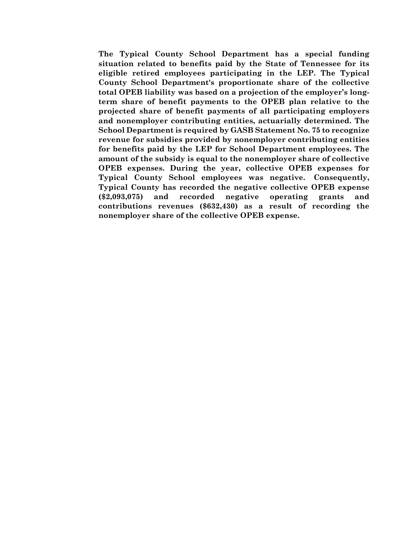**The Typical County School Department has a special funding situation related to benefits paid by the State of Tennessee for its eligible retired employees participating in the LEP. The Typical County School Department's proportionate share of the collective total OPEB liability was based on a projection of the employer's longterm share of benefit payments to the OPEB plan relative to the projected share of benefit payments of all participating employers and nonemployer contributing entities, actuarially determined. The School Department is required by GASB Statement No. 75 to recognize revenue for subsidies provided by nonemployer contributing entities for benefits paid by the LEP for School Department employees. The amount of the subsidy is equal to the nonemployer share of collective OPEB expenses. During the year, collective OPEB expenses for Typical County School employees was negative. Consequently, Typical County has recorded the negative collective OPEB expense (\$2,093,075) and recorded negative operating grants and contributions revenues (\$632,430) as a result of recording the nonemployer share of the collective OPEB expense.**